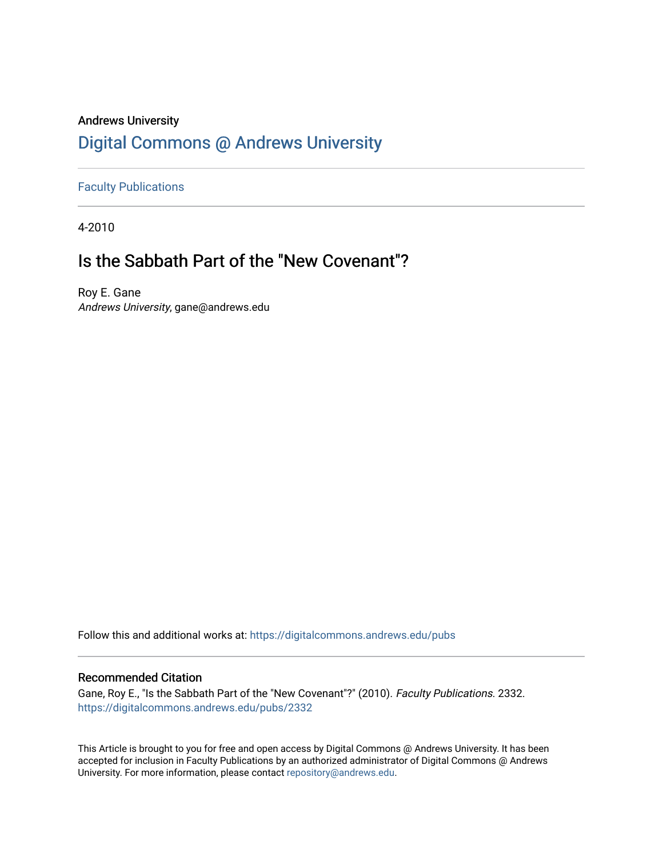## Andrews University [Digital Commons @ Andrews University](https://digitalcommons.andrews.edu/)

[Faculty Publications](https://digitalcommons.andrews.edu/pubs)

4-2010

## Is the Sabbath Part of the "New Covenant"?

Roy E. Gane Andrews University, gane@andrews.edu

Follow this and additional works at: [https://digitalcommons.andrews.edu/pubs](https://digitalcommons.andrews.edu/pubs?utm_source=digitalcommons.andrews.edu%2Fpubs%2F2332&utm_medium=PDF&utm_campaign=PDFCoverPages) 

## Recommended Citation

Gane, Roy E., "Is the Sabbath Part of the "New Covenant"?" (2010). Faculty Publications. 2332. [https://digitalcommons.andrews.edu/pubs/2332](https://digitalcommons.andrews.edu/pubs/2332?utm_source=digitalcommons.andrews.edu%2Fpubs%2F2332&utm_medium=PDF&utm_campaign=PDFCoverPages) 

This Article is brought to you for free and open access by Digital Commons @ Andrews University. It has been accepted for inclusion in Faculty Publications by an authorized administrator of Digital Commons @ Andrews University. For more information, please contact [repository@andrews.edu](mailto:repository@andrews.edu).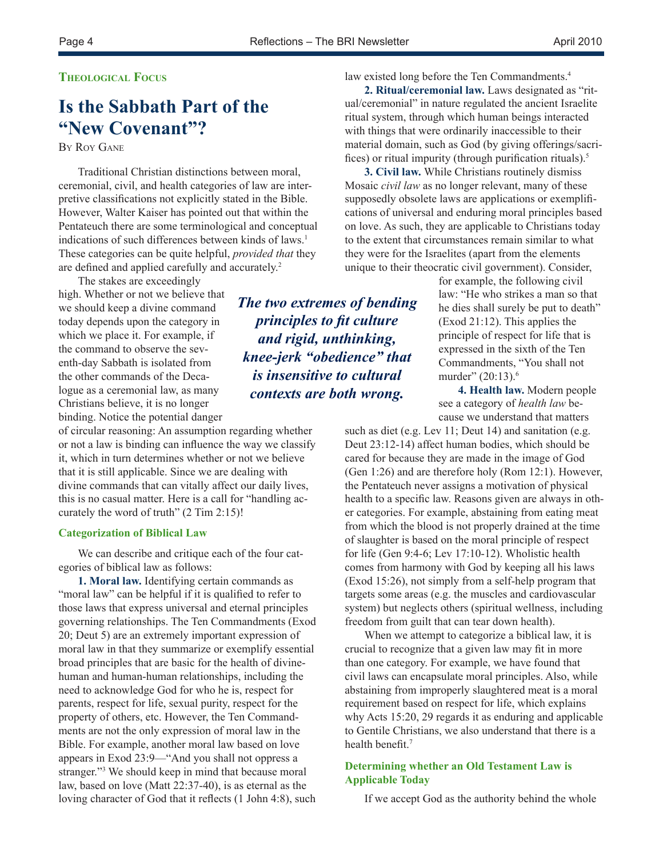## **thEological Focus**

# **Is the Sabbath Part of the "New Covenant"?**

BY ROY GANE

Traditional Christian distinctions between moral, ceremonial, civil, and health categories of law are interpretive classifcations not explicitly stated in the Bible. However, Walter Kaiser has pointed out that within the Pentateuch there are some terminological and conceptual indications of such differences between kinds of laws.<sup>1</sup> These categories can be quite helpful, *provided that* they are defned and applied carefully and accurately.<sup>2</sup>

The stakes are exceedingly high. Whether or not we believe that we should keep a divine command today depends upon the category in which we place it. For example, if the command to observe the seventh-day Sabbath is isolated from the other commands of the Decalogue as a ceremonial law, as many Christians believe, it is no longer binding. Notice the potential danger

of circular reasoning: An assumption regarding whether or not a law is binding can infuence the way we classify it, which in turn determines whether or not we believe that it is still applicable. Since we are dealing with divine commands that can vitally affect our daily lives, this is no casual matter. Here is a call for "handling accurately the word of truth" (2 Tim 2:15)!

#### **Categorization of Biblical Law**

We can describe and critique each of the four categories of biblical law as follows:

**1. Moral law.** Identifying certain commands as "moral law" can be helpful if it is qualified to refer to those laws that express universal and eternal principles governing relationships. The Ten Commandments (Exod 20; Deut 5) are an extremely important expression of moral law in that they summarize or exemplify essential broad principles that are basic for the health of divinehuman and human-human relationships, including the need to acknowledge God for who he is, respect for parents, respect for life, sexual purity, respect for the property of others, etc. However, the Ten Commandments are not the only expression of moral law in the Bible. For example, another moral law based on love appears in Exod 23:9—"And you shall not oppress a stranger."3 We should keep in mind that because moral law, based on love (Matt 22:37-40), is as eternal as the loving character of God that it refects (1 John 4:8), such

*The two extremes of bending principles to ft culture and rigid, unthinking, knee-jerk "obedience" that is insensitive to cultural contexts are both wrong.*

law existed long before the Ten Commandments.<sup>4</sup>

**2. Ritual/ceremonial law.** Laws designated as "ritual/ceremonial" in nature regulated the ancient Israelite ritual system, through which human beings interacted with things that were ordinarily inaccessible to their material domain, such as God (by giving offerings/sacrifices) or ritual impurity (through purification rituals).<sup>5</sup>

**3. Civil law.** While Christians routinely dismiss Mosaic *civil law* as no longer relevant, many of these supposedly obsolete laws are applications or exemplifcations of universal and enduring moral principles based on love. As such, they are applicable to Christians today to the extent that circumstances remain similar to what they were for the Israelites (apart from the elements unique to their theocratic civil government). Consider,

> for example, the following civil law: "He who strikes a man so that he dies shall surely be put to death" (Exod 21:12). This applies the principle of respect for life that is expressed in the sixth of the Ten Commandments, "You shall not murder" (20:13).<sup>6</sup>

**4. Health law.** Modern people see a category of *health law* because we understand that matters

such as diet (e.g. Lev 11; Deut 14) and sanitation (e.g. Deut 23:12-14) affect human bodies, which should be cared for because they are made in the image of God (Gen 1:26) and are therefore holy (Rom 12:1). However, the Pentateuch never assigns a motivation of physical health to a specific law. Reasons given are always in other categories. For example, abstaining from eating meat from which the blood is not properly drained at the time of slaughter is based on the moral principle of respect for life (Gen 9:4-6; Lev 17:10-12). Wholistic health comes from harmony with God by keeping all his laws (Exod 15:26), not simply from a self-help program that targets some areas (e.g. the muscles and cardiovascular system) but neglects others (spiritual wellness, including freedom from guilt that can tear down health).

When we attempt to categorize a biblical law, it is crucial to recognize that a given law may ft in more than one category. For example, we have found that civil laws can encapsulate moral principles. Also, while abstaining from improperly slaughtered meat is a moral requirement based on respect for life, which explains why Acts 15:20, 29 regards it as enduring and applicable to Gentile Christians, we also understand that there is a health benefit.<sup>7</sup>

## **Determining whether an Old Testament Law is Applicable Today**

If we accept God as the authority behind the whole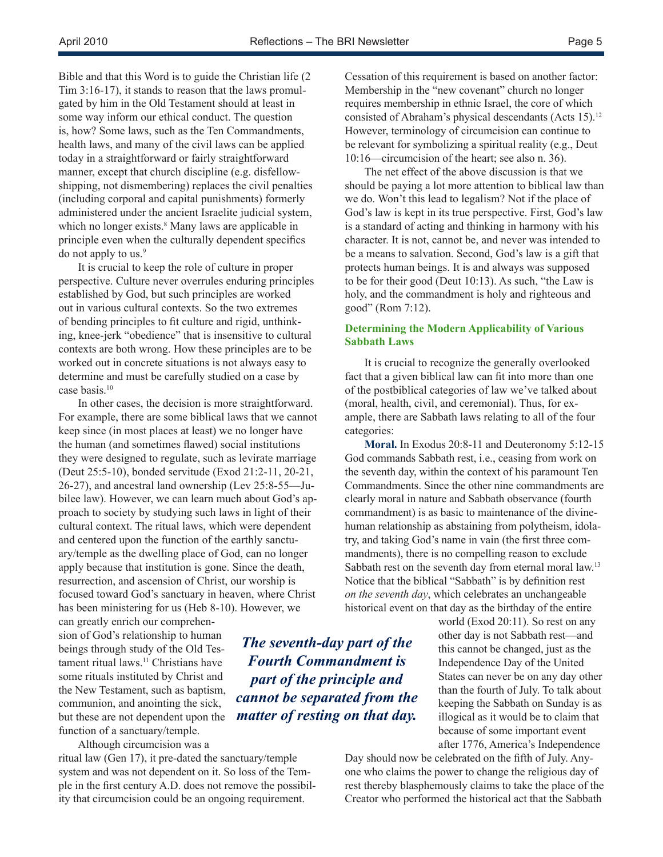Bible and that this Word is to guide the Christian life (2 Tim 3:16-17), it stands to reason that the laws promulgated by him in the Old Testament should at least in some way inform our ethical conduct. The question is, how? Some laws, such as the Ten Commandments, health laws, and many of the civil laws can be applied today in a straightforward or fairly straightforward manner, except that church discipline (e.g. disfellowshipping, not dismembering) replaces the civil penalties (including corporal and capital punishments) formerly administered under the ancient Israelite judicial system, which no longer exists.<sup>8</sup> Many laws are applicable in principle even when the culturally dependent specifcs do not apply to us.9

It is crucial to keep the role of culture in proper perspective. Culture never overrules enduring principles established by God, but such principles are worked out in various cultural contexts. So the two extremes of bending principles to ft culture and rigid, unthinking, knee-jerk "obedience" that is insensitive to cultural contexts are both wrong. How these principles are to be worked out in concrete situations is not always easy to determine and must be carefully studied on a case by case basis.10

In other cases, the decision is more straightforward. For example, there are some biblical laws that we cannot keep since (in most places at least) we no longer have the human (and sometimes fawed) social institutions they were designed to regulate, such as levirate marriage (Deut 25:5-10), bonded servitude (Exod 21:2-11, 20-21, 26-27), and ancestral land ownership (Lev 25:8-55—Jubilee law). However, we can learn much about God's approach to society by studying such laws in light of their cultural context. The ritual laws, which were dependent and centered upon the function of the earthly sanctuary/temple as the dwelling place of God, can no longer apply because that institution is gone. Since the death, resurrection, and ascension of Christ, our worship is focused toward God's sanctuary in heaven, where Christ has been ministering for us (Heb 8-10). However, we

can greatly enrich our comprehension of God's relationship to human beings through study of the Old Testament ritual laws.<sup>11</sup> Christians have some rituals instituted by Christ and the New Testament, such as baptism, communion, and anointing the sick, but these are not dependent upon the function of a sanctuary/temple.

Although circumcision was a

ritual law (Gen 17), it pre-dated the sanctuary/temple system and was not dependent on it. So loss of the Temple in the frst century A.D. does not remove the possibility that circumcision could be an ongoing requirement.

Cessation of this requirement is based on another factor: Membership in the "new covenant" church no longer requires membership in ethnic Israel, the core of which consisted of Abraham's physical descendants (Acts 15).<sup>12</sup> However, terminology of circumcision can continue to be relevant for symbolizing a spiritual reality (e.g., Deut 10:16—circumcision of the heart; see also n. 36).

The net effect of the above discussion is that we should be paying a lot more attention to biblical law than we do. Won't this lead to legalism? Not if the place of God's law is kept in its true perspective. First, God's law is a standard of acting and thinking in harmony with his character. It is not, cannot be, and never was intended to be a means to salvation. Second, God's law is a gift that protects human beings. It is and always was supposed to be for their good (Deut 10:13). As such, "the Law is holy, and the commandment is holy and righteous and good" (Rom 7:12).

## **Determining the Modern Applicability of Various Sabbath Laws**

It is crucial to recognize the generally overlooked fact that a given biblical law can ft into more than one of the postbiblical categories of law we've talked about (moral, health, civil, and ceremonial). Thus, for example, there are Sabbath laws relating to all of the four categories:

**Moral.** In Exodus 20:8-11 and Deuteronomy 5:12-15 God commands Sabbath rest, i.e., ceasing from work on the seventh day, within the context of his paramount Ten Commandments. Since the other nine commandments are clearly moral in nature and Sabbath observance (fourth commandment) is as basic to maintenance of the divinehuman relationship as abstaining from polytheism, idolatry, and taking God's name in vain (the frst three commandments), there is no compelling reason to exclude Sabbath rest on the seventh day from eternal moral law.<sup>13</sup> Notice that the biblical "Sabbath" is by defnition rest *on the seventh day*, which celebrates an unchangeable historical event on that day as the birthday of the entire

> world (Exod 20:11). So rest on any other day is not Sabbath rest—and this cannot be changed, just as the Independence Day of the United States can never be on any day other than the fourth of July. To talk about keeping the Sabbath on Sunday is as illogical as it would be to claim that because of some important event after 1776, America's Independence

Day should now be celebrated on the ffth of July. Anyone who claims the power to change the religious day of rest thereby blasphemously claims to take the place of the Creator who performed the historical act that the Sabbath

*The seventh-day part of the Fourth Commandment is part of the principle and cannot be separated from the matter of resting on that day.*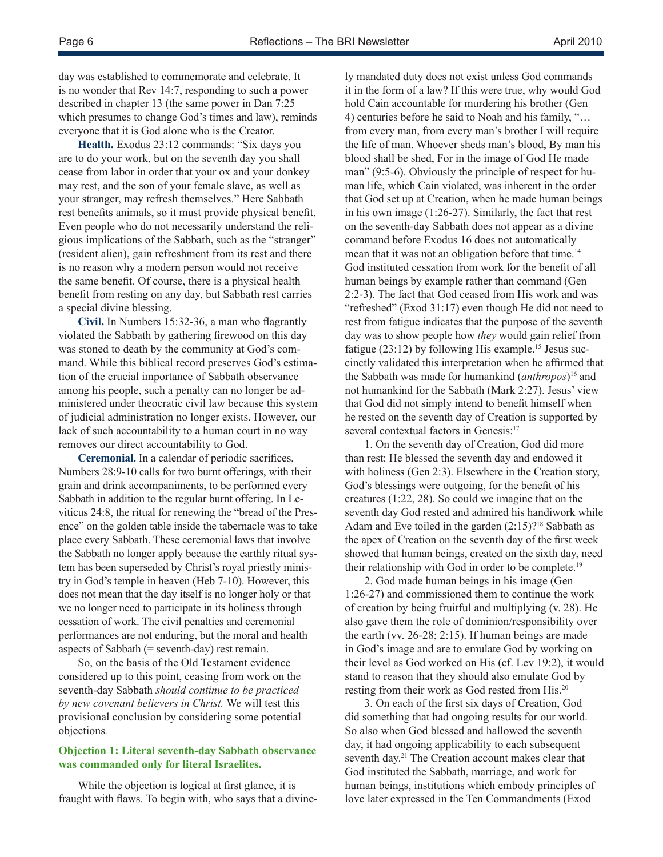day was established to commemorate and celebrate. It is no wonder that Rev 14:7, responding to such a power described in chapter 13 (the same power in Dan 7:25 which presumes to change God's times and law), reminds everyone that it is God alone who is the Creator.

**Health.** Exodus 23:12 commands: "Six days you are to do your work, but on the seventh day you shall cease from labor in order that your ox and your donkey may rest, and the son of your female slave, as well as your stranger, may refresh themselves." Here Sabbath rest benefts animals, so it must provide physical beneft. Even people who do not necessarily understand the religious implications of the Sabbath, such as the "stranger" (resident alien), gain refreshment from its rest and there is no reason why a modern person would not receive the same beneft. Of course, there is a physical health beneft from resting on any day, but Sabbath rest carries a special divine blessing.

**Civil.** In Numbers 15:32-36, a man who fagrantly violated the Sabbath by gathering frewood on this day was stoned to death by the community at God's command. While this biblical record preserves God's estimation of the crucial importance of Sabbath observance among his people, such a penalty can no longer be administered under theocratic civil law because this system of judicial administration no longer exists. However, our lack of such accountability to a human court in no way removes our direct accountability to God.

**Ceremonial.** In a calendar of periodic sacrifces, Numbers 28:9-10 calls for two burnt offerings, with their grain and drink accompaniments, to be performed every Sabbath in addition to the regular burnt offering. In Leviticus 24:8, the ritual for renewing the "bread of the Presence" on the golden table inside the tabernacle was to take place every Sabbath. These ceremonial laws that involve the Sabbath no longer apply because the earthly ritual system has been superseded by Christ's royal priestly ministry in God's temple in heaven (Heb 7-10). However, this does not mean that the day itself is no longer holy or that we no longer need to participate in its holiness through cessation of work. The civil penalties and ceremonial performances are not enduring, but the moral and health aspects of Sabbath (= seventh-day) rest remain.

So, on the basis of the Old Testament evidence considered up to this point, ceasing from work on the seventh-day Sabbath *should continue to be practiced by new covenant believers in Christ.* We will test this provisional conclusion by considering some potential objections*.* 

#### **Objection 1: Literal seventh-day Sabbath observance was commanded only for literal Israelites.**

While the objection is logical at frst glance, it is fraught with faws. To begin with, who says that a divinely mandated duty does not exist unless God commands it in the form of a law? If this were true, why would God hold Cain accountable for murdering his brother (Gen 4) centuries before he said to Noah and his family, "… from every man, from every man's brother I will require the life of man. Whoever sheds man's blood, By man his blood shall be shed, For in the image of God He made man" (9:5-6). Obviously the principle of respect for human life, which Cain violated, was inherent in the order that God set up at Creation, when he made human beings in his own image (1:26-27). Similarly, the fact that rest on the seventh-day Sabbath does not appear as a divine command before Exodus 16 does not automatically mean that it was not an obligation before that time.<sup>14</sup> God instituted cessation from work for the beneft of all human beings by example rather than command (Gen 2:2-3). The fact that God ceased from His work and was "refreshed" (Exod 31:17) even though He did not need to rest from fatigue indicates that the purpose of the seventh day was to show people how *they* would gain relief from fatigue  $(23:12)$  by following His example.<sup>15</sup> Jesus succinctly validated this interpretation when he affrmed that the Sabbath was made for humankind (*anthropos*) 16 and not humankind for the Sabbath (Mark 2:27). Jesus' view that God did not simply intend to beneft himself when he rested on the seventh day of Creation is supported by several contextual factors in Genesis:<sup>17</sup>

1. On the seventh day of Creation, God did more than rest: He blessed the seventh day and endowed it with holiness (Gen 2:3). Elsewhere in the Creation story, God's blessings were outgoing, for the beneft of his creatures (1:22, 28). So could we imagine that on the seventh day God rested and admired his handiwork while Adam and Eve toiled in the garden  $(2.15)$ ?<sup>18</sup> Sabbath as the apex of Creation on the seventh day of the frst week showed that human beings, created on the sixth day, need their relationship with God in order to be complete.19

2. God made human beings in his image (Gen 1:26-27) and commissioned them to continue the work of creation by being fruitful and multiplying (v. 28). He also gave them the role of dominion/responsibility over the earth (vv. 26-28; 2:15). If human beings are made in God's image and are to emulate God by working on their level as God worked on His (cf. Lev 19:2), it would stand to reason that they should also emulate God by resting from their work as God rested from His.20

3. On each of the frst six days of Creation, God did something that had ongoing results for our world. So also when God blessed and hallowed the seventh day, it had ongoing applicability to each subsequent seventh day.<sup>21</sup> The Creation account makes clear that God instituted the Sabbath, marriage, and work for human beings, institutions which embody principles of love later expressed in the Ten Commandments (Exod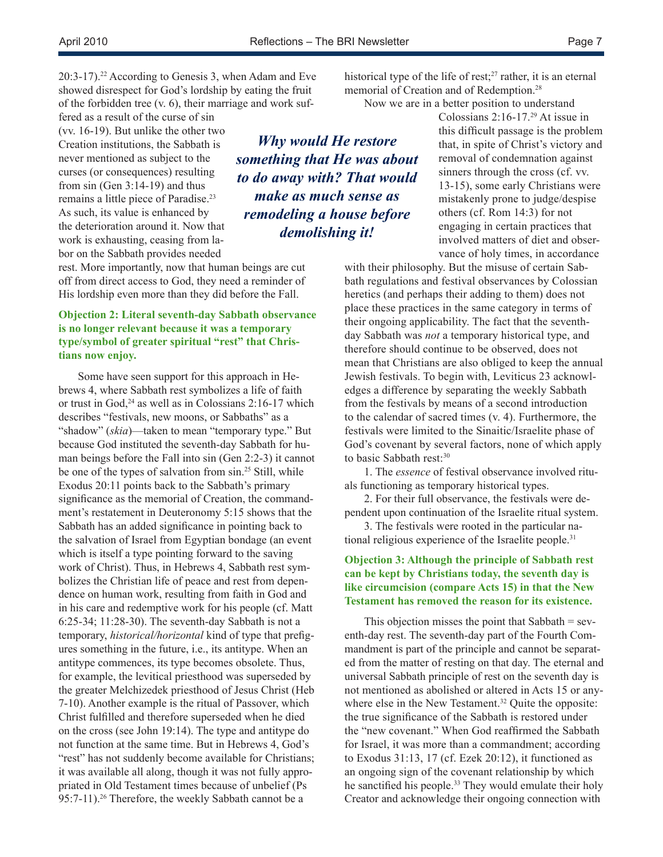20:3-17).22 According to Genesis 3, when Adam and Eve showed disrespect for God's lordship by eating the fruit of the forbidden tree (v. 6), their marriage and work suf-

fered as a result of the curse of sin (vv. 16-19). But unlike the other two Creation institutions, the Sabbath is never mentioned as subject to the curses (or consequences) resulting from sin (Gen 3:14-19) and thus remains a little piece of Paradise.<sup>23</sup> As such, its value is enhanced by the deterioration around it. Now that work is exhausting, ceasing from labor on the Sabbath provides needed

rest. More importantly, now that human beings are cut off from direct access to God, they need a reminder of His lordship even more than they did before the Fall.

## **Objection 2: Literal seventh-day Sabbath observance is no longer relevant because it was a temporary type/symbol of greater spiritual "rest" that Christians now enjoy.**

Some have seen support for this approach in Hebrews 4, where Sabbath rest symbolizes a life of faith or trust in God, $24$  as well as in Colossians 2:16-17 which describes "festivals, new moons, or Sabbaths" as a "shadow" (*skia*)—taken to mean "temporary type." But because God instituted the seventh-day Sabbath for human beings before the Fall into sin (Gen 2:2-3) it cannot be one of the types of salvation from sin.<sup>25</sup> Still, while Exodus 20:11 points back to the Sabbath's primary signifcance as the memorial of Creation, the commandment's restatement in Deuteronomy 5:15 shows that the Sabbath has an added signifcance in pointing back to the salvation of Israel from Egyptian bondage (an event which is itself a type pointing forward to the saving work of Christ). Thus, in Hebrews 4, Sabbath rest symbolizes the Christian life of peace and rest from dependence on human work, resulting from faith in God and in his care and redemptive work for his people (cf. Matt 6:25-34; 11:28-30). The seventh-day Sabbath is not a temporary, *historical/horizontal* kind of type that prefgures something in the future, i.e., its antitype. When an antitype commences, its type becomes obsolete. Thus, for example, the levitical priesthood was superseded by the greater Melchizedek priesthood of Jesus Christ (Heb 7-10). Another example is the ritual of Passover, which Christ fulflled and therefore superseded when he died on the cross (see John 19:14). The type and antitype do not function at the same time. But in Hebrews 4, God's "rest" has not suddenly become available for Christians; it was available all along, though it was not fully appropriated in Old Testament times because of unbelief (Ps 95:7-11).26 Therefore, the weekly Sabbath cannot be a

*Why would He restore something that He was about to do away with? That would make as much sense as remodeling a house before demolishing it!*

historical type of the life of rest; $27$  rather, it is an eternal memorial of Creation and of Redemption.28

Now we are in a better position to understand

Colossians 2:16-17.29 At issue in this diffcult passage is the problem that, in spite of Christ's victory and removal of condemnation against sinners through the cross (cf. vv. 13-15), some early Christians were mistakenly prone to judge/despise others (cf. Rom 14:3) for not engaging in certain practices that involved matters of diet and observance of holy times, in accordance

with their philosophy. But the misuse of certain Sabbath regulations and festival observances by Colossian heretics (and perhaps their adding to them) does not place these practices in the same category in terms of their ongoing applicability. The fact that the seventhday Sabbath was *not* a temporary historical type, and therefore should continue to be observed, does not mean that Christians are also obliged to keep the annual Jewish festivals. To begin with, Leviticus 23 acknowledges a difference by separating the weekly Sabbath from the festivals by means of a second introduction to the calendar of sacred times (v. 4). Furthermore, the festivals were limited to the Sinaitic/Israelite phase of God's covenant by several factors, none of which apply to basic Sabbath rest:<sup>30</sup>

1. The *essence* of festival observance involved rituals functioning as temporary historical types.

2. For their full observance, the festivals were dependent upon continuation of the Israelite ritual system.

3. The festivals were rooted in the particular national religious experience of the Israelite people.<sup>31</sup>

## **Objection 3: Although the principle of Sabbath rest can be kept by Christians today, the seventh day is like circumcision (compare Acts 15) in that the New Testament has removed the reason for its existence.**

This objection misses the point that Sabbath = seventh-day rest. The seventh-day part of the Fourth Commandment is part of the principle and cannot be separated from the matter of resting on that day. The eternal and universal Sabbath principle of rest on the seventh day is not mentioned as abolished or altered in Acts 15 or anywhere else in the New Testament.<sup>32</sup> Quite the opposite: the true signifcance of the Sabbath is restored under the "new covenant." When God reaffrmed the Sabbath for Israel, it was more than a commandment; according to Exodus 31:13, 17 (cf. Ezek 20:12), it functioned as an ongoing sign of the covenant relationship by which he sanctified his people.<sup>33</sup> They would emulate their holy Creator and acknowledge their ongoing connection with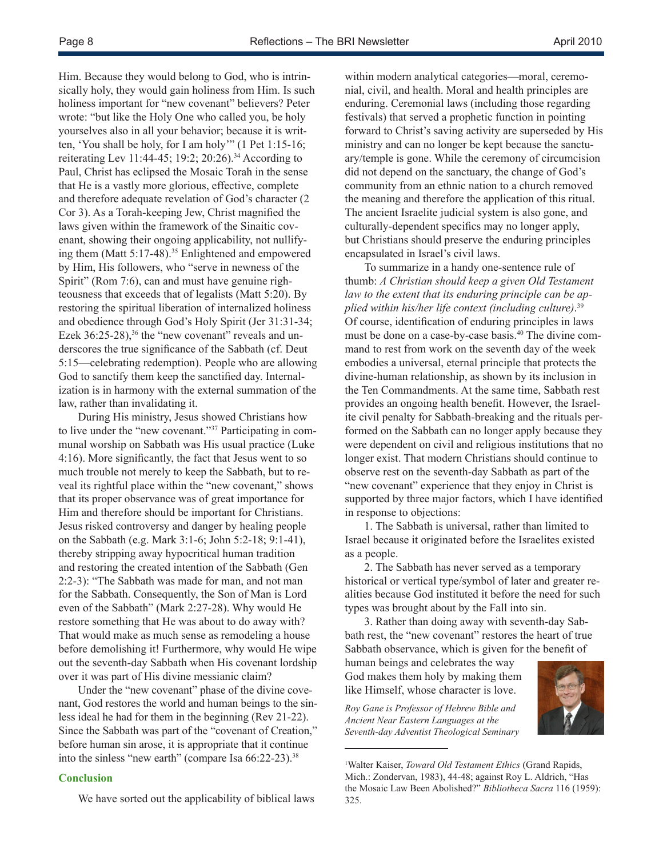Him. Because they would belong to God, who is intrinsically holy, they would gain holiness from Him. Is such holiness important for "new covenant" believers? Peter wrote: "but like the Holy One who called you, be holy yourselves also in all your behavior; because it is written, 'You shall be holy, for I am holy'" (1 Pet 1:15-16; reiterating Lev 11:44-45; 19:2; 20:26).<sup>34</sup> According to Paul, Christ has eclipsed the Mosaic Torah in the sense that He is a vastly more glorious, effective, complete and therefore adequate revelation of God's character (2 Cor 3). As a Torah-keeping Jew, Christ magnifed the laws given within the framework of the Sinaitic covenant, showing their ongoing applicability, not nullifying them (Matt 5:17-48).<sup>35</sup> Enlightened and empowered by Him, His followers, who "serve in newness of the Spirit" (Rom 7:6), can and must have genuine righteousness that exceeds that of legalists (Matt 5:20). By restoring the spiritual liberation of internalized holiness and obedience through God's Holy Spirit (Jer 31:31-34; Ezek  $36:25-28$ ,  $36$  the "new covenant" reveals and underscores the true signifcance of the Sabbath (cf. Deut 5:15—celebrating redemption). People who are allowing God to sanctify them keep the sanctifed day. Internalization is in harmony with the external summation of the law, rather than invalidating it.

During His ministry, Jesus showed Christians how to live under the "new covenant."37 Participating in communal worship on Sabbath was His usual practice (Luke 4:16). More signifcantly, the fact that Jesus went to so much trouble not merely to keep the Sabbath, but to reveal its rightful place within the "new covenant," shows that its proper observance was of great importance for Him and therefore should be important for Christians. Jesus risked controversy and danger by healing people on the Sabbath (e.g. Mark 3:1-6; John 5:2-18; 9:1-41), thereby stripping away hypocritical human tradition and restoring the created intention of the Sabbath (Gen 2:2-3): "The Sabbath was made for man, and not man for the Sabbath. Consequently, the Son of Man is Lord even of the Sabbath" (Mark 2:27-28). Why would He restore something that He was about to do away with? That would make as much sense as remodeling a house before demolishing it! Furthermore, why would He wipe out the seventh-day Sabbath when His covenant lordship over it was part of His divine messianic claim?

Under the "new covenant" phase of the divine covenant, God restores the world and human beings to the sinless ideal he had for them in the beginning (Rev 21-22). Since the Sabbath was part of the "covenant of Creation," before human sin arose, it is appropriate that it continue into the sinless "new earth" (compare Isa 66:22-23).<sup>38</sup>

#### **Conclusion**

We have sorted out the applicability of biblical laws

within modern analytical categories—moral, ceremonial, civil, and health. Moral and health principles are enduring. Ceremonial laws (including those regarding festivals) that served a prophetic function in pointing forward to Christ's saving activity are superseded by His ministry and can no longer be kept because the sanctuary/temple is gone. While the ceremony of circumcision did not depend on the sanctuary, the change of God's community from an ethnic nation to a church removed the meaning and therefore the application of this ritual. The ancient Israelite judicial system is also gone, and culturally-dependent specifcs may no longer apply, but Christians should preserve the enduring principles encapsulated in Israel's civil laws.

To summarize in a handy one-sentence rule of thumb: *A Christian should keep a given Old Testament law to the extent that its enduring principle can be applied within his/her life context (including culture)*. 39 Of course, identifcation of enduring principles in laws must be done on a case-by-case basis.<sup>40</sup> The divine command to rest from work on the seventh day of the week embodies a universal, eternal principle that protects the divine-human relationship, as shown by its inclusion in the Ten Commandments. At the same time, Sabbath rest provides an ongoing health beneft. However, the Israelite civil penalty for Sabbath-breaking and the rituals performed on the Sabbath can no longer apply because they were dependent on civil and religious institutions that no longer exist. That modern Christians should continue to observe rest on the seventh-day Sabbath as part of the "new covenant" experience that they enjoy in Christ is supported by three major factors, which I have identifed in response to objections:

1. The Sabbath is universal, rather than limited to Israel because it originated before the Israelites existed as a people.

2. The Sabbath has never served as a temporary historical or vertical type/symbol of later and greater realities because God instituted it before the need for such types was brought about by the Fall into sin.

3. Rather than doing away with seventh-day Sabbath rest, the "new covenant" restores the heart of true Sabbath observance, which is given for the beneft of

human beings and celebrates the way God makes them holy by making them like Himself, whose character is love.

*Roy Gane is Professor of Hebrew Bible and Ancient Near Eastern Languages at the Seventh-day Adventist Theological Seminary*



<sup>1</sup> Walter Kaiser, *Toward Old Testament Ethics* (Grand Rapids, Mich.: Zondervan, 1983), 44-48; against Roy L. Aldrich, "Has the Mosaic Law Been Abolished?" *Bibliotheca Sacra* 116 (1959): 325.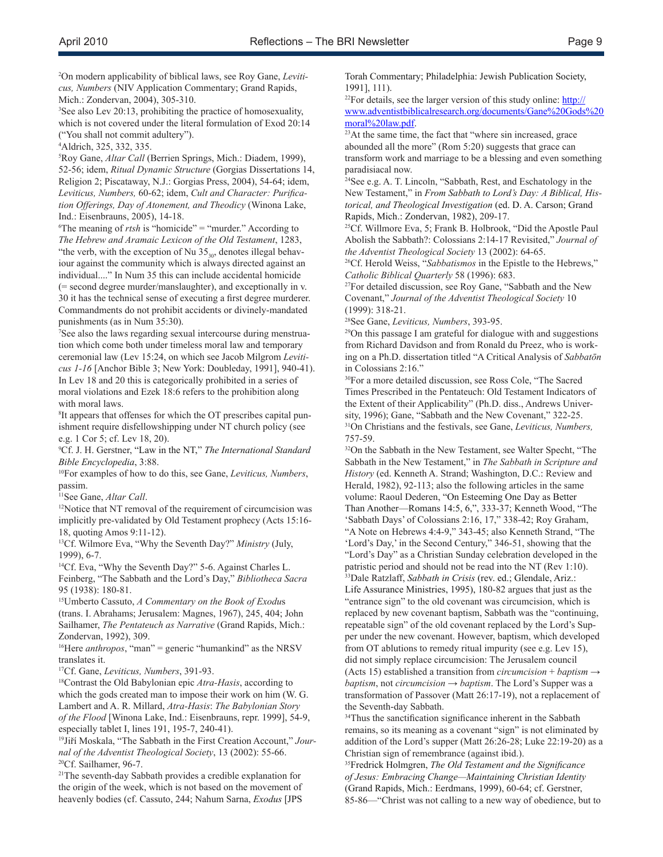2 On modern applicability of biblical laws, see Roy Gane, *Leviticus, Numbers* (NIV Application Commentary; Grand Rapids, Mich.: Zondervan, 2004), 305-310.

3 See also Lev 20:13, prohibiting the practice of homosexuality, which is not covered under the literal formulation of Exod 20:14 ("You shall not commit adultery").

4 Aldrich, 325, 332, 335.

5 Roy Gane, *Altar Call* (Berrien Springs, Mich.: Diadem, 1999), 52-56; idem, *Ritual Dynamic Structure* (Gorgias Dissertations 14, Religion 2; Piscataway, N.J.: Gorgias Press, 2004), 54-64; idem, *Leviticus, Numbers,* 60-62; idem, *Cult and Character: Purifcation Offerings, Day of Atonement, and Theodicy* (Winona Lake, Ind.: Eisenbrauns, 2005), 14-18.

 ${}^6$ The meaning of *rtsh* is "homicide" = "murder." According to *The Hebrew and Aramaic Lexicon of the Old Testament*, 1283, "the verb, with the exception of Nu  $35_{30}$ , denotes illegal behaviour against the community which is always directed against an individual...." In Num 35 this can include accidental homicide (= second degree murder/manslaughter), and exceptionally in v. 30 it has the technical sense of executing a frst degree murderer. Commandments do not prohibit accidents or divinely-mandated punishments (as in Num 35:30).

7 See also the laws regarding sexual intercourse during menstruation which come both under timeless moral law and temporary ceremonial law (Lev 15:24, on which see Jacob Milgrom *Leviticus 1-16* [Anchor Bible 3; New York: Doubleday, 1991], 940-41). In Lev 18 and 20 this is categorically prohibited in a series of moral violations and Ezek 18:6 refers to the prohibition along with moral laws.

8 It appears that offenses for which the OT prescribes capital punishment require disfellowshipping under NT church policy (see e.g. 1 Cor 5; cf. Lev 18, 20).

9 Cf. J. H. Gerstner, "Law in the NT," *The International Standard Bible Encyclopedia*, 3:88.

10For examples of how to do this, see Gane, *Leviticus, Numbers*, passim.

11See Gane, *Altar Call*.

12Notice that NT removal of the requirement of circumcision was implicitly pre-validated by Old Testament prophecy (Acts 15:16- 18, quoting Amos 9:11-12).

13Cf. Wilmore Eva, "Why the Seventh Day?" *Ministry* (July, 1999), 6-7.

14Cf. Eva, "Why the Seventh Day?" 5-6. Against Charles L. Feinberg, "The Sabbath and the Lord's Day," *Bibliotheca Sacra* 95 (1938): 180-81.

15Umberto Cassuto, *A Commentary on the Book of Exodu*s (trans. I. Abrahams; Jerusalem: Magnes, 1967), 245, 404; John Sailhamer, *The Pentateuch as Narrative* (Grand Rapids, Mich.: Zondervan, 1992), 309.

<sup>16</sup>Here *anthropos*, "man" = generic "humankind" as the NRSV translates it.

17Cf. Gane, *Leviticus, Numbers*, 391-93.

18Contrast the Old Babylonian epic *Atra-Hasis*, according to which the gods created man to impose their work on him (W. G. Lambert and A. R. Millard, *Atra-Hasis*: *The Babylonian Story of the Flood* [Winona Lake, Ind.: Eisenbrauns, repr. 1999], 54-9, especially tablet I, lines 191, 195-7, 240-41).

19Jiří Moskala, "The Sabbath in the First Creation Account," *Journal of the Adventist Theological Society*, 13 (2002): 55-66. 20Cf. Sailhamer, 96-7.

21The seventh-day Sabbath provides a credible explanation for the origin of the week, which is not based on the movement of heavenly bodies (cf. Cassuto, 244; Nahum Sarna, *Exodus* [JPS Torah Commentary; Philadelphia: Jewish Publication Society, 1991], 111).

 $22$ For details, see the larger version of this study online: [http://](http://www.adventistbiblicalresearch.org/documents/Gane%20Gods%20moral%20law.pdf) [www.adventistbiblicalresearch.org/documents/Gane%20Gods%20](http://www.adventistbiblicalresearch.org/documents/Gane%20Gods%20moral%20law.pdf) [moral%20law.pdf.](http://www.adventistbiblicalresearch.org/documents/Gane%20Gods%20moral%20law.pdf)

<sup>23</sup>At the same time, the fact that "where sin increased, grace" abounded all the more" (Rom 5:20) suggests that grace can transform work and marriage to be a blessing and even something paradisiacal now.

24See e.g. A. T. Lincoln, "Sabbath, Rest, and Eschatology in the New Testament," in *From Sabbath to Lord's Day: A Biblical, Historical, and Theological Investigation* (ed. D. A. Carson; Grand Rapids, Mich.: Zondervan, 1982), 209-17.

25Cf. Willmore Eva, 5; Frank B. Holbrook, "Did the Apostle Paul Abolish the Sabbath?: Colossians 2:14-17 Revisited," *Journal of the Adventist Theological Society* 13 (2002): 64-65.

26Cf. Herold Weiss, "*Sabbatismos* in the Epistle to the Hebrews," *Catholic Biblical Quarterly* 58 (1996): 683.

<sup>27</sup>For detailed discussion, see Roy Gane, "Sabbath and the New Covenant," *Journal of the Adventist Theological Society* 10 (1999): 318-21.

28See Gane, *Leviticus, Numbers*, 393-95.

29On this passage I am grateful for dialogue with and suggestions from Richard Davidson and from Ronald du Preez, who is working on a Ph.D. dissertation titled "A Critical Analysis of *Sabbatōn* in Colossians 2:16."

30For a more detailed discussion, see Ross Cole, "The Sacred Times Prescribed in the Pentateuch: Old Testament Indicators of the Extent of their Applicability" (Ph.D. diss., Andrews University, 1996); Gane, "Sabbath and the New Covenant," 322-25. 31On Christians and the festivals, see Gane, *Leviticus, Numbers,*  757-59.

32On the Sabbath in the New Testament, see Walter Specht, "The Sabbath in the New Testament," in *The Sabbath in Scripture and History* (ed. Kenneth A. Strand; Washington, D.C.: Review and Herald, 1982), 92-113; also the following articles in the same volume: Raoul Dederen, "On Esteeming One Day as Better Than Another—Romans 14:5, 6,", 333-37; Kenneth Wood, "The 'Sabbath Days' of Colossians 2:16, 17," 338-42; Roy Graham, "A Note on Hebrews 4:4-9," 343-45; also Kenneth Strand, "The 'Lord's Day,' in the Second Century," 346-51, showing that the "Lord's Day" as a Christian Sunday celebration developed in the patristic period and should not be read into the NT (Rev 1:10). 33Dale Ratzlaff, *Sabbath in Crisis* (rev. ed.; Glendale, Ariz.: Life Assurance Ministries, 1995), 180-82 argues that just as the "entrance sign" to the old covenant was circumcision, which is replaced by new covenant baptism, Sabbath was the "continuing, repeatable sign" of the old covenant replaced by the Lord's Supper under the new covenant. However, baptism, which developed from OT ablutions to remedy ritual impurity (see e.g. Lev 15), did not simply replace circumcision: The Jerusalem council

(Acts 15) established a transition from *circumcision* + *baptism → baptism*, not *circumcision → baptism*. The Lord's Supper was a transformation of Passover (Matt 26:17-19), not a replacement of the Seventh-day Sabbath.

<sup>34</sup>Thus the sanctification significance inherent in the Sabbath remains, so its meaning as a covenant "sign" is not eliminated by addition of the Lord's supper (Matt 26:26-28; Luke 22:19-20) as a Christian sign of remembrance (against ibid.).

35Fredrick Holmgren, *The Old Testament and the Signifcance of Jesus: Embracing Change—Maintaining Christian Identity* (Grand Rapids, Mich.: Eerdmans, 1999), 60-64; cf. Gerstner, 85-86—"Christ was not calling to a new way of obedience, but to